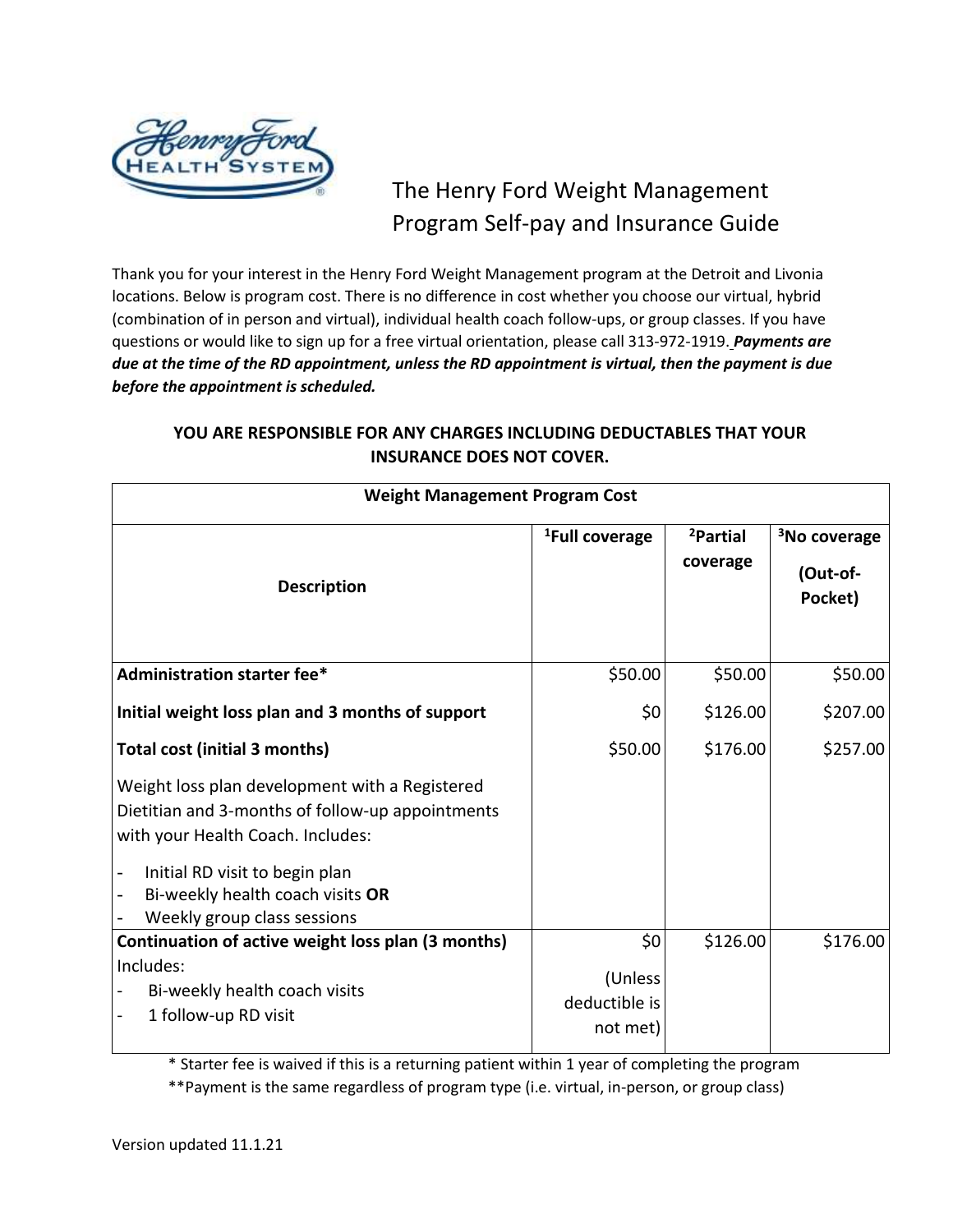

# The Henry Ford Weight Management Program Self-pay and Insurance Guide

Thank you for your interest in the Henry Ford Weight Management program at the Detroit and Livonia locations. Below is program cost. There is no difference in cost whether you choose our virtual, hybrid (combination of in person and virtual), individual health coach follow-ups, or group classes. If you have questions or would like to sign up for a free virtual orientation, please call 313-972-1919. *Payments are due at the time of the RD appointment, unless the RD appointment is virtual, then the payment is due before the appointment is scheduled.*

| <b>Weight Management Program Cost</b>                                                                                                   |                                      |                                  |                                                 |  |  |
|-----------------------------------------------------------------------------------------------------------------------------------------|--------------------------------------|----------------------------------|-------------------------------------------------|--|--|
| <b>Description</b>                                                                                                                      | <sup>1</sup> Full coverage           | <sup>2</sup> Partial<br>coverage | <sup>3</sup> No coverage<br>(Out-of-<br>Pocket) |  |  |
| <b>Administration starter fee*</b>                                                                                                      | \$50.00                              | \$50.00                          | \$50.00                                         |  |  |
| Initial weight loss plan and 3 months of support                                                                                        | \$0                                  | \$126.00                         | \$207.00                                        |  |  |
| <b>Total cost (initial 3 months)</b>                                                                                                    | \$50.00                              | \$176.00                         | \$257.00                                        |  |  |
| Weight loss plan development with a Registered<br>Dietitian and 3-months of follow-up appointments<br>with your Health Coach. Includes: |                                      |                                  |                                                 |  |  |
| Initial RD visit to begin plan<br>Bi-weekly health coach visits OR<br>Weekly group class sessions                                       |                                      |                                  |                                                 |  |  |
| Continuation of active weight loss plan (3 months)                                                                                      | \$0                                  | \$126.00                         | \$176.00                                        |  |  |
| Includes:<br>Bi-weekly health coach visits<br>1 follow-up RD visit                                                                      | (Unless<br>deductible is<br>not met) |                                  |                                                 |  |  |

# **YOU ARE RESPONSIBLE FOR ANY CHARGES INCLUDING DEDUCTABLES THAT YOUR INSURANCE DOES NOT COVER.**

\* Starter fee is waived if this is a returning patient within 1 year of completing the program \*\*Payment is the same regardless of program type (i.e. virtual, in-person, or group class)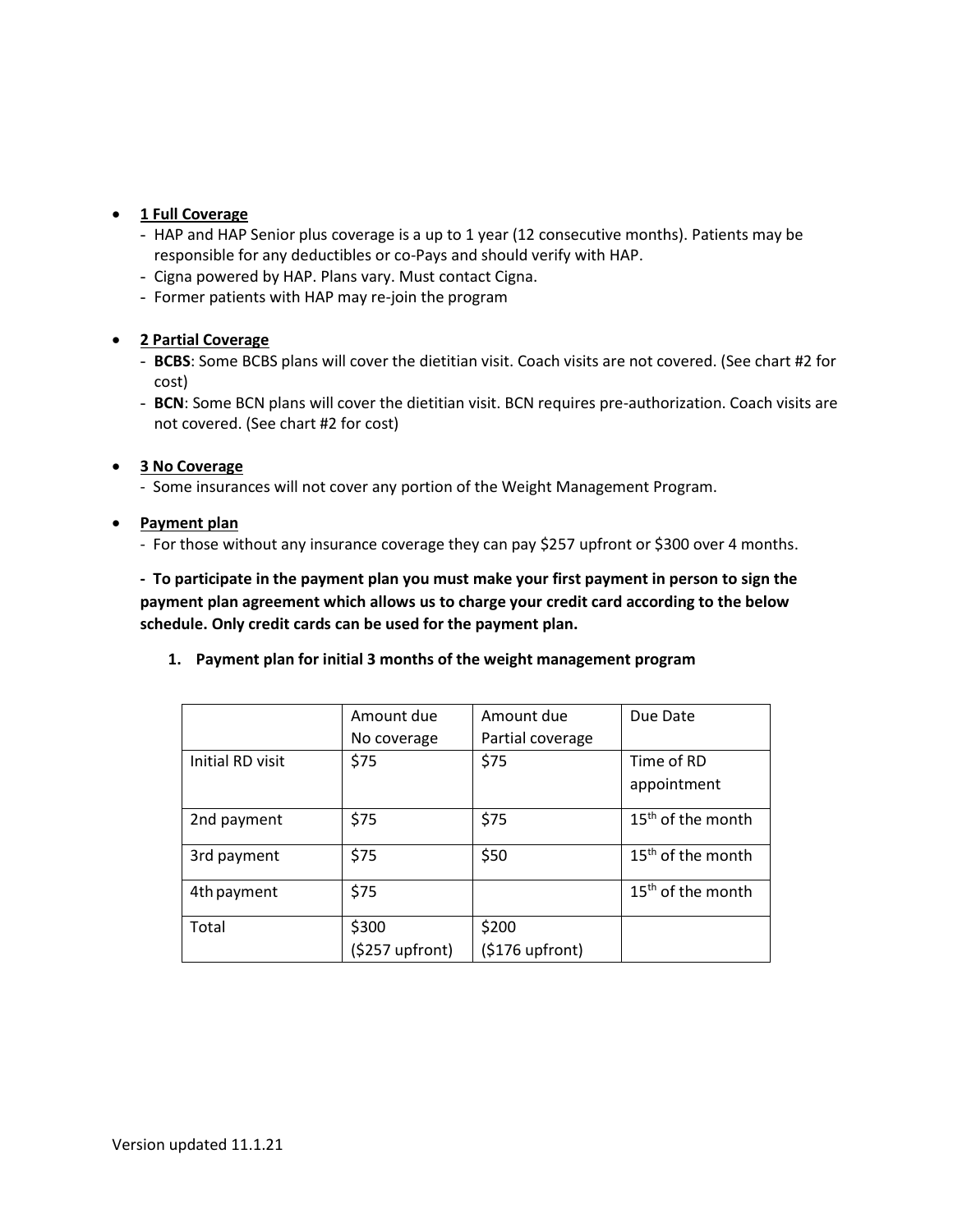## • **1 Full Coverage**

- HAP and HAP Senior plus coverage is a up to 1 year (12 consecutive months). Patients may be responsible for any deductibles or co-Pays and should verify with HAP.
- Cigna powered by HAP. Plans vary. Must contact Cigna.
- Former patients with HAP may re-join the program

#### • **2 Partial Coverage**

- **BCBS**: Some BCBS plans will cover the dietitian visit. Coach visits are not covered. (See chart #2 for cost)
- **BCN**: Some BCN plans will cover the dietitian visit. BCN requires pre-authorization. Coach visits are not covered. (See chart #2 for cost)

#### • **3 No Coverage**

- Some insurances will not cover any portion of the Weight Management Program.

### • **Payment plan**

- For those without any insurance coverage they can pay \$257 upfront or \$300 over 4 months.

**- To participate in the payment plan you must make your first payment in person to sign the payment plan agreement which allows us to charge your credit card according to the below schedule. Only credit cards can be used for the payment plan.**

#### **1. Payment plan for initial 3 months of the weight management program**

|                  | Amount due      | Amount due       | Due Date                      |
|------------------|-----------------|------------------|-------------------------------|
|                  | No coverage     | Partial coverage |                               |
| Initial RD visit | \$75            | \$75             | Time of RD                    |
|                  |                 |                  | appointment                   |
| 2nd payment      | \$75            | \$75             | 15 <sup>th</sup> of the month |
| 3rd payment      | \$75            | \$50             | 15 <sup>th</sup> of the month |
| 4th payment      | \$75            |                  | $15th$ of the month           |
| Total            | \$300           | \$200            |                               |
|                  | (\$257 upfront) | $(5176$ upfront) |                               |